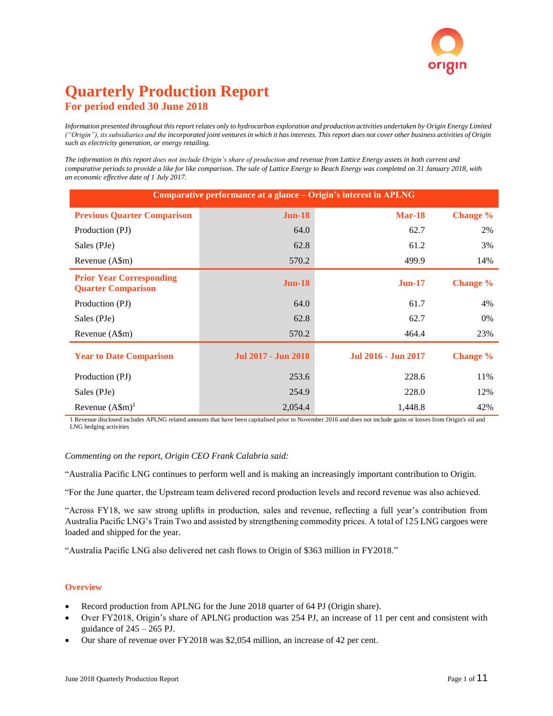# **Quarterly Production Report For period ended 30 June 2018**

*Information presented throughout this report relates only to hydrocarbon exploration and production activities undertaken by Origin Energy Limited ("Origin"), its subsidiaries and the incorporated joint ventures in which it has interests. This report does not cover other business activities of Origin such as electricity generation, or energy retailing.*

*The information in this report does not include Origin's share of production and revenue from Lattice Energy assets in both current and comparative periods to provide a like for like comparison. The sale of Lattice Energy to Beach Energy was completed on 31 January 2018, with an economic effective date of 1 July 2017.* 

| Comparative performance at a glance – Origin's interest in APLNG |                            |                     |                 |  |  |  |  |  |  |
|------------------------------------------------------------------|----------------------------|---------------------|-----------------|--|--|--|--|--|--|
| <b>Previous Quarter Comparison</b>                               | <b>Jun-18</b>              | Mar-18              | Change %        |  |  |  |  |  |  |
| Production (PJ)                                                  | 64.0                       | 62.7                | 2%              |  |  |  |  |  |  |
| Sales (PJe)                                                      | 62.8                       | 61.2                | 3%              |  |  |  |  |  |  |
| Revenue (A\$m)                                                   | 570.2                      | 499.9               | 14%             |  |  |  |  |  |  |
| <b>Prior Year Corresponding</b><br><b>Quarter Comparison</b>     | $Jun-18$                   | $Jun-17$            | <b>Change</b> % |  |  |  |  |  |  |
| Production (PJ)                                                  | 64.0                       | 61.7                | 4%              |  |  |  |  |  |  |
| Sales (PJe)                                                      | 62.8                       | 62.7                | 0%              |  |  |  |  |  |  |
| Revenue (A\$m)                                                   | 570.2                      | 464.4               | 23%             |  |  |  |  |  |  |
| <b>Year to Date Comparison</b>                                   | <b>Jul 2017 - Jun 2018</b> | Jul 2016 - Jun 2017 | <b>Change</b> % |  |  |  |  |  |  |
| Production (PJ)                                                  | 253.6                      | 228.6               | 11%             |  |  |  |  |  |  |
| Sales (PJe)                                                      | 254.9                      | 228.0               | 12%             |  |  |  |  |  |  |
| Revenue $(A\$ m)^1                                               | 2,054.4                    | 1,448.8             | 42%             |  |  |  |  |  |  |

1 Revenue disclosed includes APLNG related amounts that have been capitalised prior to November 2016 and does not include gains or losses from Origin's oil and LNG hedging activities

#### *Commenting on the report, Origin CEO Frank Calabria said:*

"Australia Pacific LNG continues to perform well and is making an increasingly important contribution to Origin.

"For the June quarter, the Upstream team delivered record production levels and record revenue was also achieved.

"Across FY18, we saw strong uplifts in production, sales and revenue, reflecting a full year's contribution from Australia Pacific LNG's Train Two and assisted by strengthening commodity prices. A total of 125 LNG cargoes were loaded and shipped for the year.

"Australia Pacific LNG also delivered net cash flows to Origin of \$363 million in FY2018."

#### **Overview**

- Record production from APLNG for the June 2018 quarter of 64 PJ (Origin share).
- Over FY2018, Origin's share of APLNG production was 254 PJ, an increase of 11 per cent and consistent with guidance of  $245 - 265$  PJ.
- Our share of revenue over FY2018 was \$2,054 million, an increase of 42 per cent.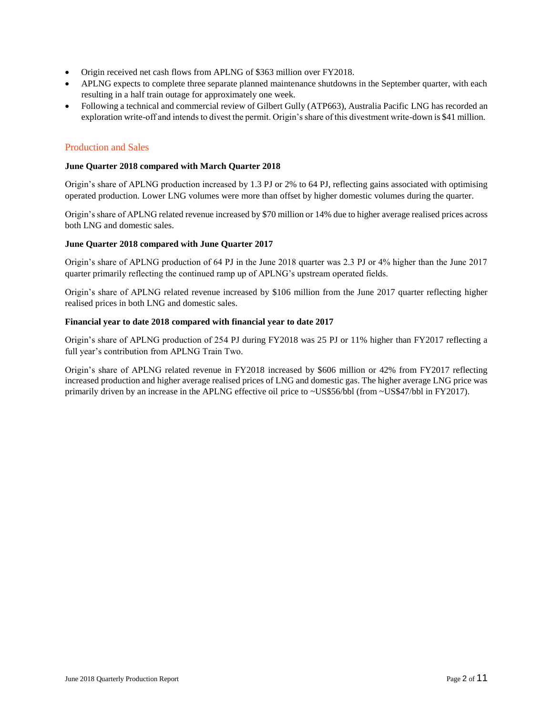- Origin received net cash flows from APLNG of \$363 million over FY2018.
- APLNG expects to complete three separate planned maintenance shutdowns in the September quarter, with each resulting in a half train outage for approximately one week.
- Following a technical and commercial review of Gilbert Gully (ATP663), Australia Pacific LNG has recorded an exploration write-off and intends to divest the permit. Origin's share of this divestment write-down is \$41 million.

#### Production and Sales

#### **June Quarter 2018 compared with March Quarter 2018**

Origin's share of APLNG production increased by 1.3 PJ or 2% to 64 PJ, reflecting gains associated with optimising operated production. Lower LNG volumes were more than offset by higher domestic volumes during the quarter.

Origin's share of APLNG related revenue increased by \$70 million or 14% due to higher average realised prices across both LNG and domestic sales.

#### **June Quarter 2018 compared with June Quarter 2017**

Origin's share of APLNG production of 64 PJ in the June 2018 quarter was 2.3 PJ or 4% higher than the June 2017 quarter primarily reflecting the continued ramp up of APLNG's upstream operated fields.

Origin's share of APLNG related revenue increased by \$106 million from the June 2017 quarter reflecting higher realised prices in both LNG and domestic sales.

#### **Financial year to date 2018 compared with financial year to date 2017**

Origin's share of APLNG production of 254 PJ during FY2018 was 25 PJ or 11% higher than FY2017 reflecting a full year's contribution from APLNG Train Two.

Origin's share of APLNG related revenue in FY2018 increased by \$606 million or 42% from FY2017 reflecting increased production and higher average realised prices of LNG and domestic gas. The higher average LNG price was primarily driven by an increase in the APLNG effective oil price to ~US\$56/bbl (from ~US\$47/bbl in FY2017).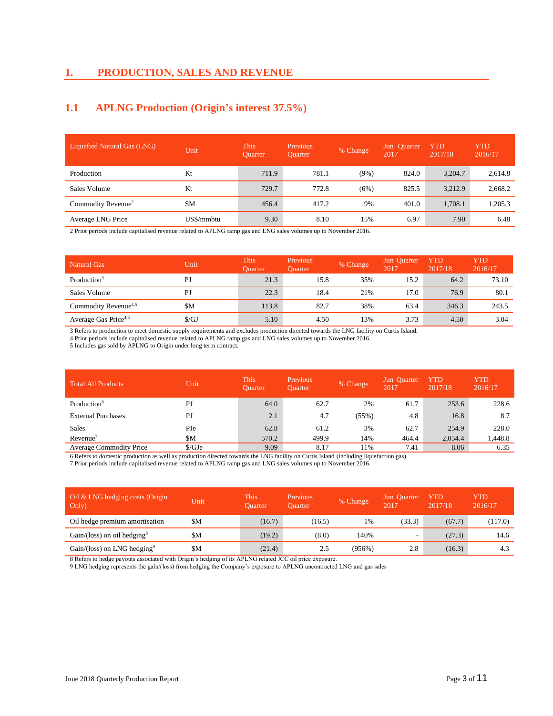#### **1. PRODUCTION, SALES AND REVENUE**

## **1.1 APLNG Production (Origin's interest 37.5%)**

| Liquefied Natural Gas (LNG)    | Unit       | <b>This</b><br><b>Ouarter</b> | <b>Previous</b><br><b>Ouarter</b> | % Change | Jun Ouarter<br>2017 | YTD<br>2017/18 | YTD<br>2016/17 |
|--------------------------------|------------|-------------------------------|-----------------------------------|----------|---------------------|----------------|----------------|
| Production                     | Kt         | 711.9                         | 781.1                             | $(9\%)$  | 824.0               | 3,204.7        | 2,614.8        |
| Sales Volume                   | Kt         | 729.7                         | 772.8                             | (6%)     | 825.5               | 3,212.9        | 2,668.2        |
| Commodity Revenue <sup>2</sup> | \$M        | 456.4                         | 417.2                             | 9%       | 401.0               | 1,708.1        | 1,205.3        |
| Average LNG Price              | US\$/mmbtu | 9.30                          | 8.10                              | 15%      | 6.97                | 7.90           | 6.48           |

2 Prior periods include capitalised revenue related to APLNG ramp gas and LNG sales volumes up to November 2016.

| <b>Natural Gas</b>               | Unit         | This'<br><b>Ouarter</b> | Previous<br><b>Ouarter</b> | % Change | Jun Quarter<br>2017 | YTD<br>2017/18 | YTD<br>2016/17 |
|----------------------------------|--------------|-------------------------|----------------------------|----------|---------------------|----------------|----------------|
| Production <sup>3</sup>          | PJ           | 21.3                    | 15.8                       | 35%      | 15.2                | 64.2           | 73.10          |
| Sales Volume                     | PJ           | 22.3                    | 18.4                       | 21%      | 17.0                | 76.9           | 80.1           |
| Commodity Revenue <sup>4,5</sup> | \$Μ          | 113.8                   | 82.7                       | 38%      | 63.4                | 346.3          | 243.5          |
| Average Gas Price <sup>4,5</sup> | $\sqrt{$GJ}$ | 5.10                    | 4.50                       | 13%      | 3.73                | 4.50           | 3.04           |

3 Refers to production to meet domestic supply requirements and excludes production directed towards the LNG facility on Curtis Island.

4 Prior periods include capitalised revenue related to APLNG ramp gas and LNG sales volumes up to November 2016.

5 Includes gas sold by APLNG to Origin under long term contract.

| <b>Total All Products</b>      | Unit   | This'<br><b>Ouarter</b> | Previous<br><b>Ouarter</b> | % Change | Jun Quarter<br>2017 | YTD<br>2017/18 | YTD<br>2016/17 |
|--------------------------------|--------|-------------------------|----------------------------|----------|---------------------|----------------|----------------|
| Production <sup>6</sup>        | PJ     | 64.0                    | 62.7                       | 2%       | 61.7                | 253.6          | 228.6          |
| <b>External Purchases</b>      | PJ     | 2.1                     | 4.7                        | (55%)    | 4.8                 | 16.8           | 8.7            |
| <b>Sales</b>                   | PJe    | 62.8                    | 61.2                       | 3%       | 62.7                | 254.9          | 228.0          |
| Revenue <sup>7</sup>           | \$Μ    | 570.2                   | 499.9                      | 14%      | 464.4               | 2.054.4        | 1,448.8        |
| <b>Average Commodity Price</b> | \$/GJe | 9.09                    | 8.17                       | 11%      | 7.41                | 8.06           | 6.35           |

6 Refers to domestic production as well as production directed towards the LNG facility on Curtis Island (including liquefaction gas).

7 Prior periods include capitalised revenue related to APLNG ramp gas and LNG sales volumes up to November 2016.

| Oil & LNG hedging costs (Origin<br>Only)  | Unit | This<br><b>Ouarter</b> | <b>Previous</b><br><b>Ouarter</b> | % Change  | Jun Ouarter<br>2017      | YTD<br>2017/18 | YTD<br>2016/17 |
|-------------------------------------------|------|------------------------|-----------------------------------|-----------|--------------------------|----------------|----------------|
| Oil hedge premium amortisation            | \$Μ  | (16.7)                 | (16.5)                            | 1%        | (33.3)                   | (67.7)         | (117.0)        |
| $Gain/(loss)$ on oil hedging <sup>8</sup> | \$M  | (19.2)                 | (8.0)                             | 140%      | $\overline{\phantom{0}}$ | (27.3)         | 14.6           |
| Gain/(loss) on LNG hedging <sup>9</sup>   | \$Μ  | (21.4)                 | 2.5                               | $(956\%)$ | 2.8                      | (16.3)         | 4.3            |

8 Refers to hedge payouts associated with Origin's hedging of its APLNG related JCC oil price exposure.

9 LNG hedging represents the gain/(loss) from hedging the Company's exposure to APLNG uncontracted LNG and gas sales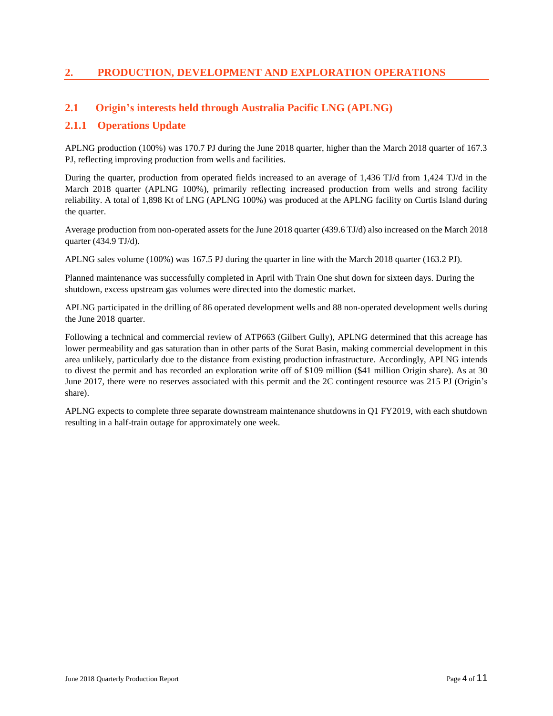## **2. PRODUCTION, DEVELOPMENT AND EXPLORATION OPERATIONS**

#### **2.1 Origin's interests held through Australia Pacific LNG (APLNG)**

#### **2.1.1 Operations Update**

APLNG production (100%) was 170.7 PJ during the June 2018 quarter, higher than the March 2018 quarter of 167.3 PJ, reflecting improving production from wells and facilities.

During the quarter, production from operated fields increased to an average of 1,436 TJ/d from 1,424 TJ/d in the March 2018 quarter (APLNG 100%), primarily reflecting increased production from wells and strong facility reliability. A total of 1,898 Kt of LNG (APLNG 100%) was produced at the APLNG facility on Curtis Island during the quarter.

Average production from non-operated assets for the June 2018 quarter (439.6 TJ/d) also increased on the March 2018 quarter (434.9 TJ/d).

APLNG sales volume (100%) was 167.5 PJ during the quarter in line with the March 2018 quarter (163.2 PJ).

Planned maintenance was successfully completed in April with Train One shut down for sixteen days. During the shutdown, excess upstream gas volumes were directed into the domestic market.

APLNG participated in the drilling of 86 operated development wells and 88 non-operated development wells during the June 2018 quarter.

Following a technical and commercial review of ATP663 (Gilbert Gully), APLNG determined that this acreage has lower permeability and gas saturation than in other parts of the Surat Basin, making commercial development in this area unlikely, particularly due to the distance from existing production infrastructure. Accordingly, APLNG intends to divest the permit and has recorded an exploration write off of \$109 million (\$41 million Origin share). As at 30 June 2017, there were no reserves associated with this permit and the 2C contingent resource was 215 PJ (Origin's share).

APLNG expects to complete three separate downstream maintenance shutdowns in Q1 FY2019, with each shutdown resulting in a half-train outage for approximately one week.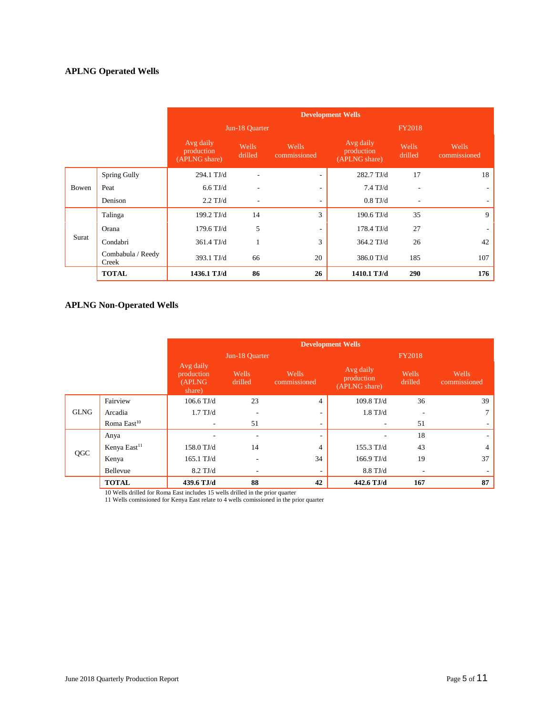### **APLNG Operated Wells**

|       |                            |                                          | <b>Development Wells</b> |                          |                                          |                          |                       |  |  |
|-------|----------------------------|------------------------------------------|--------------------------|--------------------------|------------------------------------------|--------------------------|-----------------------|--|--|
|       |                            |                                          | Jun-18 Quarter           |                          |                                          | <b>FY2018</b>            |                       |  |  |
|       |                            | Avg daily<br>production<br>(APLNG share) | Wells<br>drilled         | Wells<br>commissioned    | Avg daily<br>production<br>(APLNG share) | Wells<br>drilled         | Wells<br>commissioned |  |  |
|       | Spring Gully               | 294.1 TJ/d                               |                          | $\overline{\phantom{a}}$ | 282.7 TJ/d                               | 17                       | 18                    |  |  |
| Bowen | Peat                       | $6.6$ TJ/d                               |                          | ٠                        | $7.4$ TJ/d                               | $\overline{\phantom{a}}$ | ۰.                    |  |  |
|       | Denison                    | $2.2$ TJ/d                               |                          | $\overline{\phantom{a}}$ | $0.8$ TJ/d                               | $\overline{\phantom{a}}$ | ٠                     |  |  |
|       | Talinga                    | 199.2 TJ/d                               | 14                       | 3                        | $190.6$ TJ/d                             | 35                       | 9                     |  |  |
|       | Orana                      | $179.6$ TJ/d                             | 5                        | $\overline{\phantom{a}}$ | $178.4$ TJ/d                             | 27                       | ٠                     |  |  |
| Surat | Condabri                   | 361.4 TJ/d                               | $\mathbf{1}$             | 3                        | 364.2 TJ/d                               | 26                       | 42                    |  |  |
|       | Combabula / Reedy<br>Creek | 393.1 TJ/d                               | 66                       | 20                       | 386.0 TJ/d                               | 185                      | 107                   |  |  |
|       | <b>TOTAL</b>               | 1436.1 T.J/d                             | 86                       | 26                       | 1410.1 TJ/d                              | 290                      | 176                   |  |  |

### **APLNG Non-Operated Wells**

|             |                          |                                              |                          |                          | <b>Development Wells</b>                 |                  |                       |
|-------------|--------------------------|----------------------------------------------|--------------------------|--------------------------|------------------------------------------|------------------|-----------------------|
|             |                          |                                              | Jun-18 Quarter           |                          |                                          | <b>FY2018</b>    |                       |
|             |                          | Avg daily<br>production<br>(APLNG)<br>share) | Wells<br>drilled         | Wells<br>commissioned    | Avg daily<br>production<br>(APLNG share) | Wells<br>drilled | Wells<br>commissioned |
|             | Fairview                 | $106.6$ TJ/d                                 | 23                       | $\overline{4}$           | 109.8 TJ/d                               | 36               | 39                    |
| <b>GLNG</b> | Arcadia                  | $1.7$ TJ/d                                   | ٠                        | -                        | $1.8$ TJ/d                               |                  |                       |
|             | Roma East <sup>10</sup>  | $\overline{\phantom{a}}$                     | 51                       | $\overline{\phantom{a}}$ | $\overline{\phantom{a}}$                 | 51               | ۰                     |
|             | Anya                     |                                              | ٠                        | -                        |                                          | 18               | ٠                     |
| QGC         | Kenya East <sup>11</sup> | 158.0 TJ/d                                   | 14                       | $\overline{4}$           | 155.3 TJ/d                               | 43               | 4                     |
|             | Kenya                    | $165.1$ TJ/d                                 | $\overline{\phantom{a}}$ | 34                       | $166.9$ TJ/d                             | 19               | 37                    |
|             | Bellevue                 | $8.2$ TJ/d                                   | ٠                        | ٠                        | $8.8$ TJ/d                               |                  |                       |
|             | <b>TOTAL</b>             | 439.6 TJ/d                                   | 88                       | 42                       | 442.6 TJ/d                               | 167              | 87                    |

10 Wells drilled for Roma East includes 15 wells drilled in the prior quarter

11 Wells comissioned for Kenya East relate to 4 wells comissioned in the prior quarter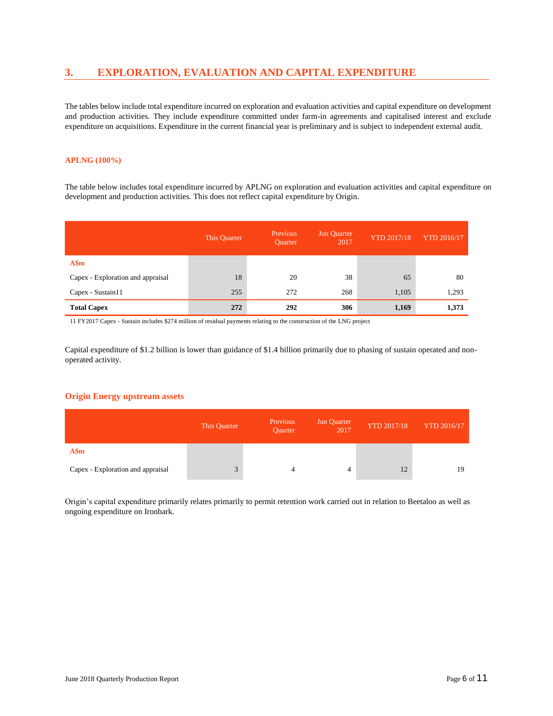## **3. EXPLORATION, EVALUATION AND CAPITAL EXPENDITURE**

The tables below include total expenditure incurred on exploration and evaluation activities and capital expenditure on development and production activities. They include expenditure committed under farm-in agreements and capitalised interest and exclude expenditure on acquisitions. Expenditure in the current financial year is preliminary and is subject to independent external audit.

#### **APLNG (100%)**

The table below includes total expenditure incurred by APLNG on exploration and evaluation activities and capital expenditure on development and production activities. This does not reflect capital expenditure by Origin.

|                                   | This Quarter | Previous<br><b>Ouarter</b> | Jun Quarter<br>2017 | <b>YTD 2017/18</b> | <b>YTD 2016/17</b> |
|-----------------------------------|--------------|----------------------------|---------------------|--------------------|--------------------|
| A\$m                              |              |                            |                     |                    |                    |
| Capex - Exploration and appraisal | 18           | 20                         | 38                  | 65                 | 80                 |
| Capex - Sustain11                 | 255          | 272                        | 268                 | 1,105              | 1,293              |
| <b>Total Capex</b>                | 272          | 292                        | 306                 | 1,169              | 1,373              |

11 FY2017 Capex - Sustain includes \$274 million of residual payments relating to the construction of the LNG project

Capital expenditure of \$1.2 billion is lower than guidance of \$1.4 billion primarily due to phasing of sustain operated and nonoperated activity.

#### **Origin Energy upstream assets**

|                                   | This Quarter | Previous<br><b>Ouarter</b> | Jun Quarter<br>2017 | <b>YTD 2017/18</b> | <b>YTD 2016/17</b> |
|-----------------------------------|--------------|----------------------------|---------------------|--------------------|--------------------|
| A\$m                              |              |                            |                     |                    |                    |
| Capex - Exploration and appraisal | 3            | 4                          | 4                   | 12                 | 19                 |

Origin's capital expenditure primarily relates primarily to permit retention work carried out in relation to Beetaloo as well as ongoing expenditure on Ironbark.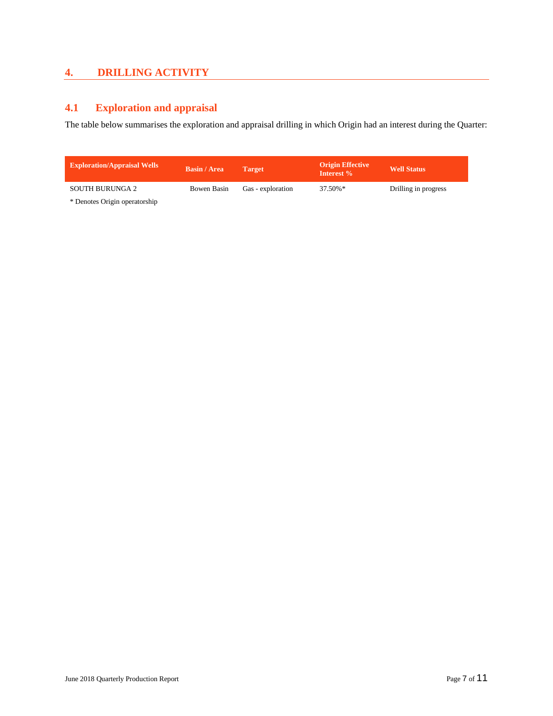## **4. DRILLING ACTIVITY**

## **4.1 Exploration and appraisal**

The table below summarises the exploration and appraisal drilling in which Origin had an interest during the Quarter:

| <b>Exploration/Appraisal Wells</b> | <b>Basin / Area</b> | <b>Target</b>     | <b>Origin Effective</b><br>Interest % | <b>Well Status</b>   |
|------------------------------------|---------------------|-------------------|---------------------------------------|----------------------|
| SOUTH BURUNGA 2                    | Bowen Basin         | Gas - exploration | $37.50\%*$                            | Drilling in progress |
|                                    |                     |                   |                                       |                      |

\* Denotes Origin operatorship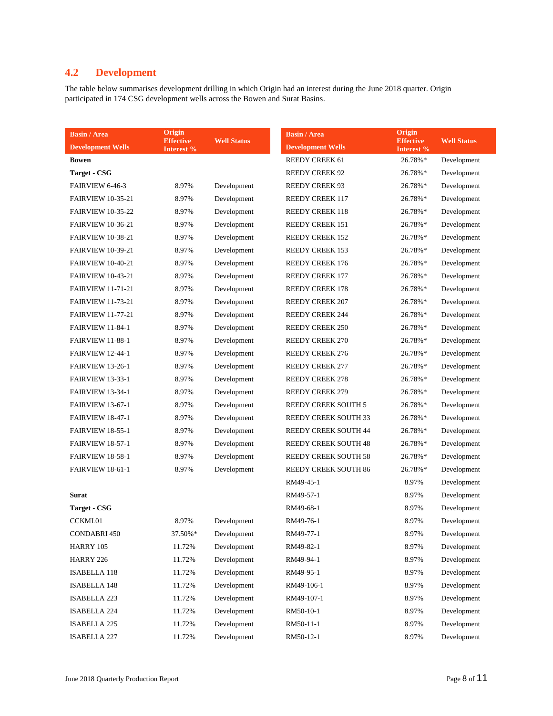## **4.2 Development**

The table below summarises development drilling in which Origin had an interest during the June 2018 quarter. Origin participated in 174 CSG development wells across the Bowen and Surat Basins.

| <b>Basin / Area</b>      | Origin<br><b>Effective</b> | <b>Well Status</b> | <b>Basin / Area</b>         | Origin                         |
|--------------------------|----------------------------|--------------------|-----------------------------|--------------------------------|
| <b>Development Wells</b> | Interest %                 |                    | <b>Development Wells</b>    | <b>Effective</b><br>Interest % |
| Bowen                    |                            |                    | REEDY CREEK 61              | 26.78%*                        |
| <b>Target - CSG</b>      |                            |                    | <b>REEDY CREEK 92</b>       | 26.78%*                        |
| FAIRVIEW 6-46-3          | 8.97%                      | Development        | <b>REEDY CREEK 93</b>       | 26.78%*                        |
| <b>FAIRVIEW 10-35-21</b> | 8.97%                      | Development        | <b>REEDY CREEK 117</b>      | 26.78%*                        |
| <b>FAIRVIEW 10-35-22</b> | 8.97%                      | Development        | <b>REEDY CREEK 118</b>      | 26.78%*                        |
| <b>FAIRVIEW 10-36-21</b> | 8.97%                      | Development        | <b>REEDY CREEK 151</b>      | 26.78%*                        |
| <b>FAIRVIEW 10-38-21</b> | 8.97%                      | Development        | <b>REEDY CREEK 152</b>      | 26.78%*                        |
| <b>FAIRVIEW 10-39-21</b> | 8.97%                      | Development        | <b>REEDY CREEK 153</b>      | 26.78%*                        |
| <b>FAIRVIEW 10-40-21</b> | 8.97%                      | Development        | REEDY CREEK 176             | 26.78%*                        |
| <b>FAIRVIEW 10-43-21</b> | 8.97%                      | Development        | <b>REEDY CREEK 177</b>      | 26.78%*                        |
| <b>FAIRVIEW 11-71-21</b> | 8.97%                      | Development        | <b>REEDY CREEK 178</b>      | 26.78%*                        |
| <b>FAIRVIEW 11-73-21</b> | 8.97%                      | Development        | <b>REEDY CREEK 207</b>      | 26.78%*                        |
| <b>FAIRVIEW 11-77-21</b> | 8.97%                      | Development        | <b>REEDY CREEK 244</b>      | 26.78%*                        |
| <b>FAIRVIEW 11-84-1</b>  | 8.97%                      | Development        | <b>REEDY CREEK 250</b>      | 26.78%*                        |
| <b>FAIRVIEW 11-88-1</b>  | 8.97%                      | Development        | <b>REEDY CREEK 270</b>      | 26.78%*                        |
| <b>FAIRVIEW 12-44-1</b>  | 8.97%                      | Development        | <b>REEDY CREEK 276</b>      | 26.78%*                        |
| <b>FAIRVIEW 13-26-1</b>  | 8.97%                      | Development        | <b>REEDY CREEK 277</b>      | 26.78%*                        |
| <b>FAIRVIEW 13-33-1</b>  | 8.97%                      | Development        | <b>REEDY CREEK 278</b>      | 26.78%*                        |
| <b>FAIRVIEW 13-34-1</b>  | 8.97%                      | Development        | <b>REEDY CREEK 279</b>      | 26.78%*                        |
| <b>FAIRVIEW 13-67-1</b>  | 8.97%                      | Development        | <b>REEDY CREEK SOUTH 5</b>  | 26.78%*                        |
| <b>FAIRVIEW 18-47-1</b>  | 8.97%                      | Development        | REEDY CREEK SOUTH 33        | 26.78%*                        |
| <b>FAIRVIEW 18-55-1</b>  | 8.97%                      | Development        | REEDY CREEK SOUTH 44        | 26.78%*                        |
| <b>FAIRVIEW 18-57-1</b>  | 8.97%                      | Development        | <b>REEDY CREEK SOUTH 48</b> | 26.78%*                        |
| <b>FAIRVIEW 18-58-1</b>  | 8.97%                      | Development        | REEDY CREEK SOUTH 58        | 26.78%*                        |
| <b>FAIRVIEW 18-61-1</b>  | 8.97%                      | Development        | REEDY CREEK SOUTH 86        | 26.78%*                        |
|                          |                            |                    | RM49-45-1                   | 8.97%                          |
| <b>Surat</b>             |                            |                    | RM49-57-1                   | 8.97%                          |
| <b>Target - CSG</b>      |                            |                    | RM49-68-1                   | 8.97%                          |
| <b>CCKML01</b>           | 8.97%                      | Development        | RM49-76-1                   | 8.97%                          |
| CONDABRI 450             | 37.50%*                    | Development        | RM49-77-1                   | 8.97%                          |
| HARRY 105                | 11.72%                     | Development        | RM49-82-1                   | 8.97%                          |
| HARRY 226                | 11.72%                     | Development        | RM49-94-1                   | 8.97%                          |
| <b>ISABELLA 118</b>      | 11.72%                     | Development        | RM49-95-1                   | 8.97%                          |
| <b>ISABELLA 148</b>      | 11.72%                     | Development        | RM49-106-1                  | 8.97%                          |
| ISABELLA 223             | 11.72%                     | Development        | RM49-107-1                  | 8.97%                          |
| <b>ISABELLA 224</b>      | 11.72%                     | Development        | RM50-10-1                   | 8.97%                          |
| ISABELLA 225             | 11.72%                     | Development        | RM50-11-1                   | 8.97%                          |
| <b>ISABELLA 227</b>      | 11.72%                     | Development        | RM50-12-1                   | 8.97%                          |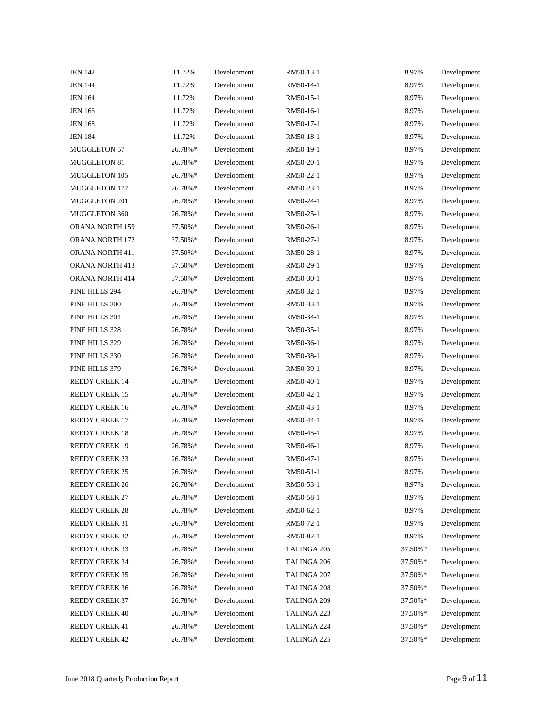| <b>JEN 142</b>        | 11.72%  | Development | RM50-13-1   | 8.97%   | Development |
|-----------------------|---------|-------------|-------------|---------|-------------|
| <b>JEN 144</b>        | 11.72%  | Development | RM50-14-1   | 8.97%   | Development |
| <b>JEN 164</b>        | 11.72%  | Development | RM50-15-1   | 8.97%   | Development |
| <b>JEN 166</b>        | 11.72%  | Development | RM50-16-1   | 8.97%   | Development |
| <b>JEN 168</b>        | 11.72%  | Development | RM50-17-1   | 8.97%   | Development |
| <b>JEN 184</b>        | 11.72%  | Development | RM50-18-1   | 8.97%   | Development |
| <b>MUGGLETON 57</b>   | 26.78%* | Development | RM50-19-1   | 8.97%   | Development |
| <b>MUGGLETON 81</b>   | 26.78%* | Development | RM50-20-1   | 8.97%   | Development |
| MUGGLETON 105         | 26.78%* | Development | RM50-22-1   | 8.97%   | Development |
| <b>MUGGLETON 177</b>  | 26.78%* | Development | RM50-23-1   | 8.97%   | Development |
| MUGGLETON 201         | 26.78%* | Development | RM50-24-1   | 8.97%   | Development |
| MUGGLETON 360         | 26.78%* | Development | RM50-25-1   | 8.97%   | Development |
| ORANA NORTH 159       | 37.50%* | Development | RM50-26-1   | 8.97%   | Development |
| ORANA NORTH 172       | 37.50%* | Development | RM50-27-1   | 8.97%   | Development |
| ORANA NORTH 411       | 37.50%* | Development | RM50-28-1   | 8.97%   | Development |
| ORANA NORTH 413       | 37.50%* | Development | RM50-29-1   | 8.97%   | Development |
| ORANA NORTH 414       | 37.50%* | Development | RM50-30-1   | 8.97%   | Development |
| PINE HILLS 294        | 26.78%* | Development | RM50-32-1   | 8.97%   | Development |
| PINE HILLS 300        | 26.78%* | Development | RM50-33-1   | 8.97%   | Development |
| PINE HILLS 301        | 26.78%* | Development | RM50-34-1   | 8.97%   | Development |
| PINE HILLS 328        | 26.78%* | Development | RM50-35-1   | 8.97%   | Development |
| PINE HILLS 329        | 26.78%* | Development | RM50-36-1   | 8.97%   | Development |
| PINE HILLS 330        | 26.78%* | Development | RM50-38-1   | 8.97%   | Development |
| PINE HILLS 379        | 26.78%* | Development | RM50-39-1   | 8.97%   | Development |
| <b>REEDY CREEK 14</b> | 26.78%* | Development | RM50-40-1   | 8.97%   | Development |
| <b>REEDY CREEK 15</b> | 26.78%* | Development | RM50-42-1   | 8.97%   | Development |
| <b>REEDY CREEK 16</b> | 26.78%* | Development | RM50-43-1   | 8.97%   | Development |
| <b>REEDY CREEK 17</b> | 26.78%* | Development | RM50-44-1   | 8.97%   | Development |
| <b>REEDY CREEK 18</b> | 26.78%* | Development | RM50-45-1   | 8.97%   | Development |
| <b>REEDY CREEK 19</b> | 26.78%* | Development | RM50-46-1   | 8.97%   | Development |
| <b>REEDY CREEK 23</b> | 26.78%* | Development | RM50-47-1   | 8.97%   | Development |
| <b>REEDY CREEK 25</b> | 26.78%* | Development | RM50-51-1   | 8.97%   | Development |
| <b>REEDY CREEK 26</b> | 26.78%* | Development | RM50-53-1   | 8.97%   | Development |
| <b>REEDY CREEK 27</b> | 26.78%* | Development | RM50-58-1   | 8.97%   | Development |
| <b>REEDY CREEK 28</b> | 26.78%* | Development | RM50-62-1   | 8.97%   | Development |
| REEDY CREEK 31        | 26.78%* | Development | RM50-72-1   | 8.97%   | Development |
| <b>REEDY CREEK 32</b> | 26.78%* | Development | RM50-82-1   | 8.97%   | Development |
| <b>REEDY CREEK 33</b> | 26.78%* | Development | TALINGA 205 | 37.50%* | Development |
| REEDY CREEK 34        | 26.78%* | Development | TALINGA 206 | 37.50%* | Development |
| <b>REEDY CREEK 35</b> | 26.78%* | Development | TALINGA 207 | 37.50%* | Development |
| <b>REEDY CREEK 36</b> | 26.78%* | Development | TALINGA 208 | 37.50%* | Development |
| <b>REEDY CREEK 37</b> | 26.78%* | Development | TALINGA 209 | 37.50%* | Development |
| <b>REEDY CREEK 40</b> | 26.78%* | Development | TALINGA 223 | 37.50%* | Development |
| <b>REEDY CREEK 41</b> | 26.78%* | Development | TALINGA 224 | 37.50%* | Development |
| <b>REEDY CREEK 42</b> | 26.78%* | Development | TALINGA 225 | 37.50%* | Development |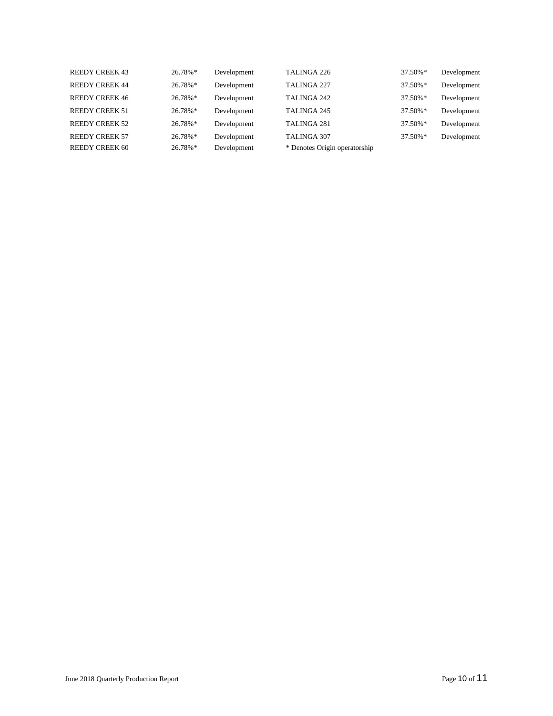| <b>REEDY CREEK 43</b> | $26.78\%*$ | Development | TALINGA 226                   | 37.50%*    | Development |
|-----------------------|------------|-------------|-------------------------------|------------|-------------|
| <b>REEDY CREEK 44</b> | $26.78\%*$ | Development | TALINGA 227                   | 37.50%*    | Development |
| <b>REEDY CREEK 46</b> | 26.78%*    | Development | TALINGA 242                   | 37.50%*    | Development |
| <b>REEDY CREEK 51</b> | $26.78\%*$ | Development | TALINGA 245                   | 37.50%*    | Development |
| <b>REEDY CREEK 52</b> | $26.78\%*$ | Development | TALINGA 281                   | 37.50%*    | Development |
| <b>REEDY CREEK 57</b> | $26.78\%*$ | Development | <b>TALINGA 307</b>            | $37.50\%*$ | Development |
| <b>REEDY CREEK 60</b> | $26.78\%*$ | Development | * Denotes Origin operatorship |            |             |